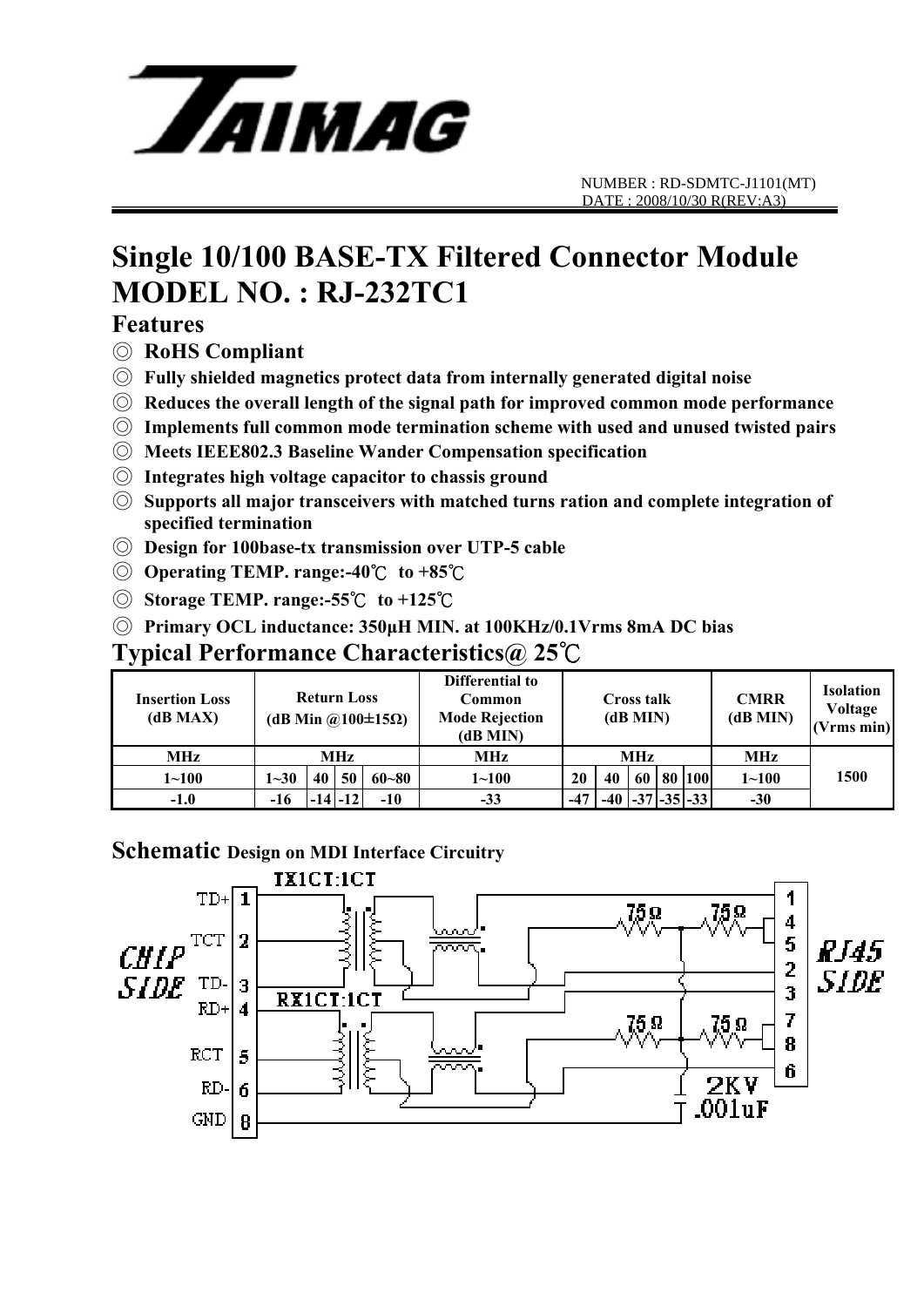

# **Single 10/100 BASE-TX Filtered Connector Module MODEL NO. : RJ-232TC1**

### **Features**

- ◎ **RoHS Compliant**
- ◎ **Fully shielded magnetics protect data from internally generated digital noise**
- ◎ **Reduces the overall length of the signal path for improved common mode performance**
- ◎ **Implements full common mode termination scheme with used and unused twisted pairs**
- ◎ **Meets IEEE802.3 Baseline Wander Compensation specification**
- ◎ **Integrates high voltage capacitor to chassis ground**
- ◎ **Supports all major transceivers with matched turns ration and complete integration of specified termination**
- ◎ **Design for 100base-tx transmission over UTP-5 cable**
- ◎ **Operating TEMP. range:-40**℃ **to +85**℃
- ◎ **Storage TEMP. range:-55**℃ **to +125**℃
- ◎ **Primary OCL inductance: 350μH MIN. at 100KHz/0.1Vrms 8mA DC bias**

#### **Typical Performance Characteristics@ 25**℃

| <b>Insertion Loss</b><br>(dB MAX) | <b>Return Loss</b><br>(dB Min $\omega(100 \pm 15 \Omega)$ ) |    |             |           | Differential to<br>Common<br><b>Mode Rejection</b><br>(dB MIN) | <b>Cross talk</b><br>(dB MIN) |    |    |  | <b>CMRR</b><br>(dB MIN)     | <b>Isolation</b><br>Voltage<br>(Vrms min) |      |
|-----------------------------------|-------------------------------------------------------------|----|-------------|-----------|----------------------------------------------------------------|-------------------------------|----|----|--|-----------------------------|-------------------------------------------|------|
| MHz                               | MHz                                                         |    |             |           | MHz                                                            | MHz                           |    |    |  |                             | MHz                                       |      |
| $1 - 100$                         | $1 - 30$                                                    | 40 | 50          | $60 - 80$ | $1 - 100$                                                      | 20                            | 40 | 60 |  | 80   100                    | $1 - 100$                                 | 1500 |
| $-1.0$                            | -16                                                         |    | $-14$ $-12$ | $-10$     | $-33$                                                          | $-47$                         |    |    |  | $-40$ $ -37 $ $-35 $ $-33 $ | $-30$                                     |      |

#### **Schematic Design on MDI Interface Circuitry**

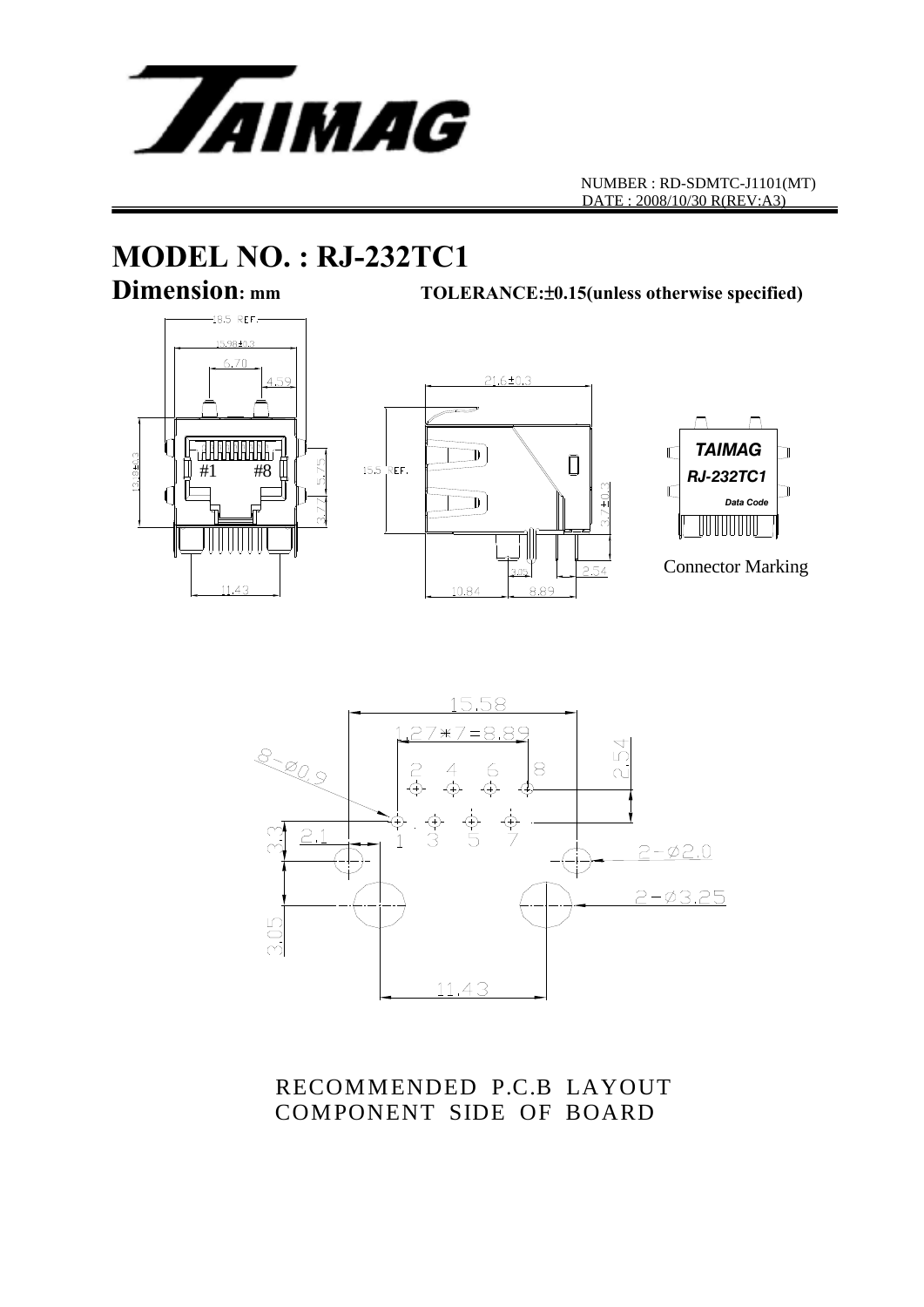

# **MODEL NO. : RJ-232TC1**

**Dimension: mm TOLERANCE:**±**0.15(unless otherwise specified)**







Connector Marking



RECOMMENDED P.C.B LAYOUT COMPONENT SIDE OF BOARD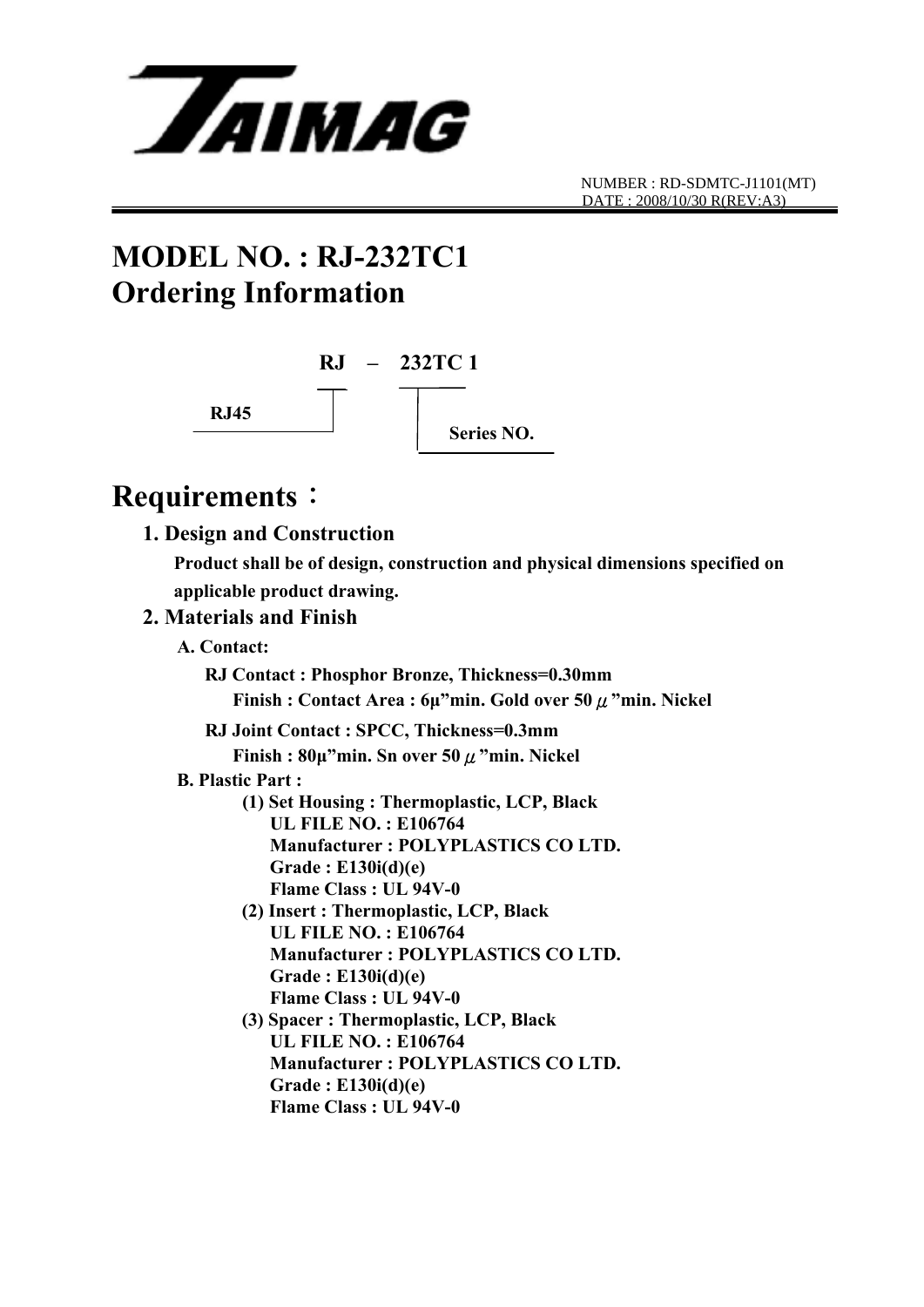

## **MODEL NO. : RJ-232TC1 Ordering Information**



### **Requirements**:

 **1. Design and Construction** 

 **Product shall be of design, construction and physical dimensions specified on applicable product drawing.** 

#### **2. Materials and Finish**

 **A. Contact:** 

 **RJ Contact : Phosphor Bronze, Thickness=0.30mm** 

 **Finish : Contact Area : 6μ"min. Gold over 50**μ**"min. Nickel** 

**RJ Joint Contact : SPCC, Thickness=0.3mm** 

 **Finish : 80μ"min. Sn over 50**μ**"min. Nickel** 

#### **B. Plastic Part :**

- **(1) Set Housing : Thermoplastic, LCP, Black UL FILE NO. : E106764 Manufacturer : POLYPLASTICS CO LTD. Grade : E130i(d)(e) Flame Class : UL 94V-0**
- **(2) Insert : Thermoplastic, LCP, Black UL FILE NO. : E106764 Manufacturer : POLYPLASTICS CO LTD. Grade : E130i(d)(e) Flame Class : UL 94V-0**
- **(3) Spacer : Thermoplastic, LCP, Black UL FILE NO. : E106764 Manufacturer : POLYPLASTICS CO LTD. Grade : E130i(d)(e) Flame Class : UL 94V-0**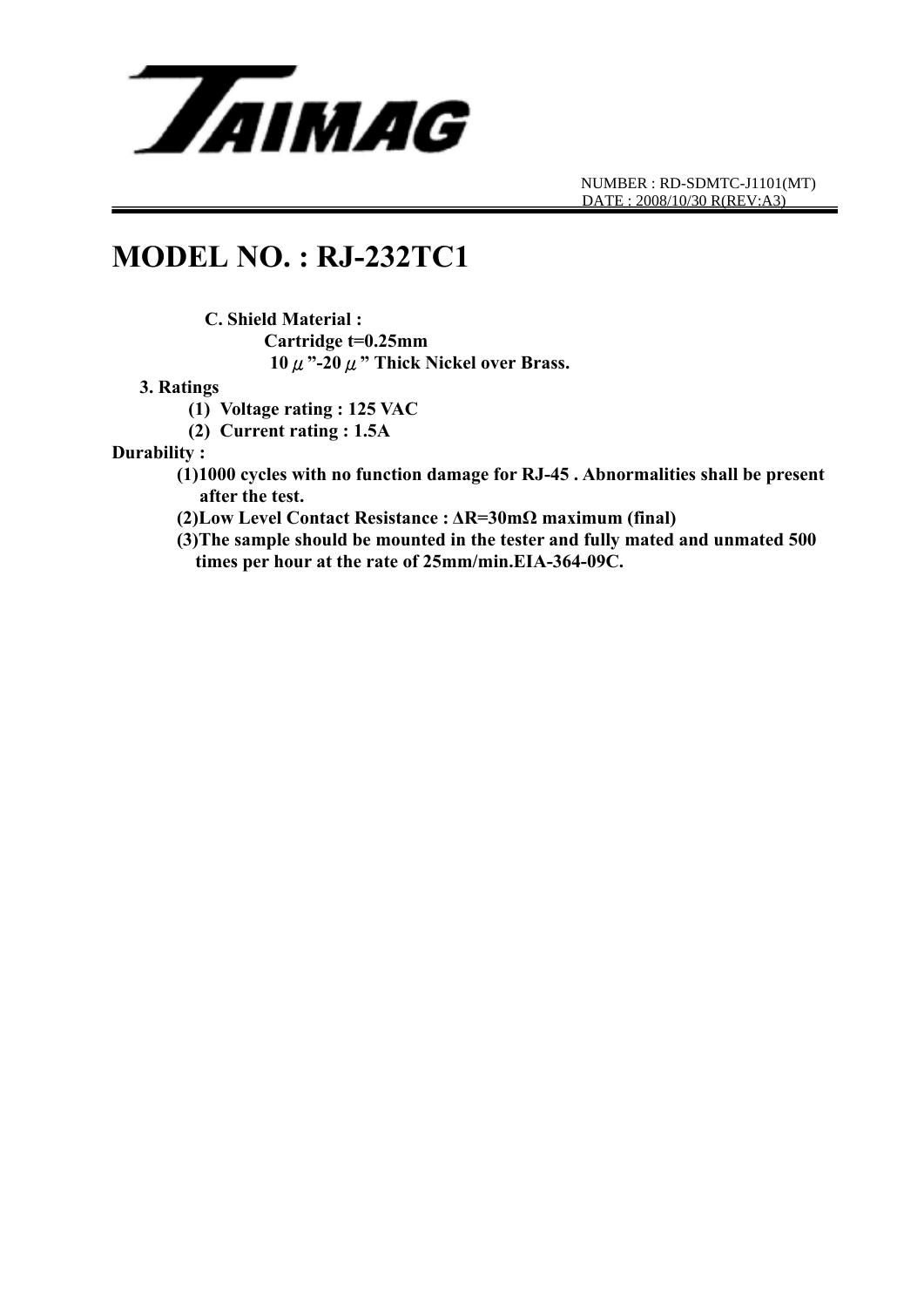

### **MODEL NO. : RJ-232TC1**

 **C. Shield Material : Cartridge t=0.25mm 10**μ**"-20**μ**" Thick Nickel over Brass.** 

#### **3. Ratings**

**(1) Voltage rating : 125 VAC** 

**(2) Current rating : 1.5A** 

**Durability :** 

- **(1)1000 cycles with no function damage for RJ-45 . Abnormalities shall be present after the test.**
- **(2)Low Level Contact Resistance : ΔR=30mΩ maximum (final)**
- **(3)The sample should be mounted in the tester and fully mated and unmated 500 times per hour at the rate of 25mm/min.EIA-364-09C.**